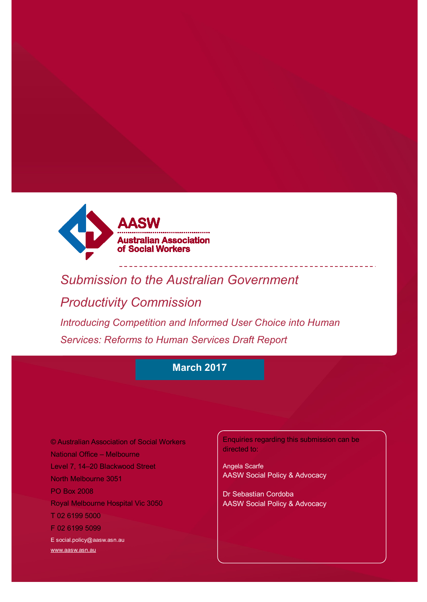

# *Submission to the Australian Government*

*Productivity Commission*

*Introducing Competition and Informed User Choice into Human Services: Reforms to Human Services Draft Report*

# **March 2017**

© Australian Association of Social Workers National Office – Melbourne Level 7, 14–20 Blackwood Street North Melbourne 3051 PO Box 2008 Royal Melbourne Hospital Vic 3050 T 02 6199 5000 F 02 6199 5099 [E social.policy@aasw.asn.au](mailto:advocacy@aasw.asn.au) [www.aasw.asn.au](http://www.aasw.asn.au/)

Enquiries regarding this submission can be directed to:

Angela Scarfe AASW Social Policy & Advocacy

Dr Sebastian Cordoba AASW Social Policy & Advocacy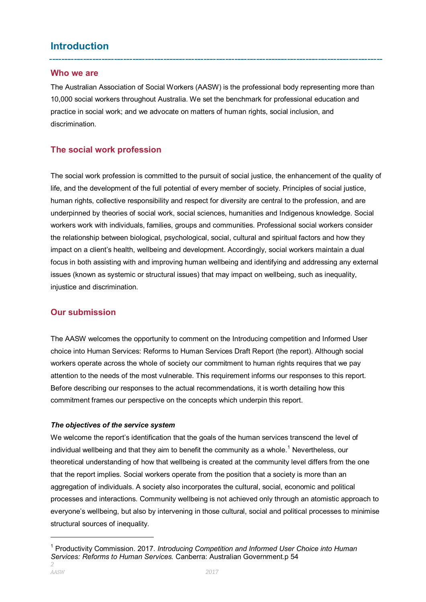# **Introduction**

### **Who we are**

The Australian Association of Social Workers (AASW) is the professional body representing more than 10,000 social workers throughout Australia. We set the benchmark for professional education and practice in social work; and we advocate on matters of human rights, social inclusion, and discrimination.

### **The social work profession**

The social work profession is committed to the pursuit of social justice, the enhancement of the quality of life, and the development of the full potential of every member of society. Principles of social justice, human rights, collective responsibility and respect for diversity are central to the profession, and are underpinned by theories of social work, social sciences, humanities and Indigenous knowledge. Social workers work with individuals, families, groups and communities. Professional social workers consider the relationship between biological, psychological, social, cultural and spiritual factors and how they impact on a client's health, wellbeing and development. Accordingly, social workers maintain a dual focus in both assisting with and improving human wellbeing and identifying and addressing any external issues (known as systemic or structural issues) that may impact on wellbeing, such as inequality, injustice and discrimination.

### **Our submission**

The AASW welcomes the opportunity to comment on the Introducing competition and Informed User choice into Human Services: Reforms to Human Services Draft Report (the report). Although social workers operate across the whole of society our commitment to human rights requires that we pay attention to the needs of the most vulnerable. This requirement informs our responses to this report. Before describing our responses to the actual recommendations, it is worth detailing how this commitment frames our perspective on the concepts which underpin this report.

### *The objectives of the service system*

We welcome the report's identification that the goals of the human services transcend the level of individual wellbeing and that they aim to benefit the community as a whole.<sup>[1](#page-1-0)</sup> Nevertheless, our theoretical understanding of how that wellbeing is created at the community level differs from the one that the report implies. Social workers operate from the position that a society is more than an aggregation of individuals. A society also incorporates the cultural, social, economic and political processes and interactions. Community wellbeing is not achieved only through an atomistic approach to everyone's wellbeing, but also by intervening in those cultural, social and political processes to minimise structural sources of inequality.

<span id="page-1-0"></span>*<sup>2</sup>* <sup>1</sup> Productivity Commission. 2017. *Introducing Competition and Informed User Choice into Human Services: Reforms to Human Services.* Canberra: Australian Government.p 54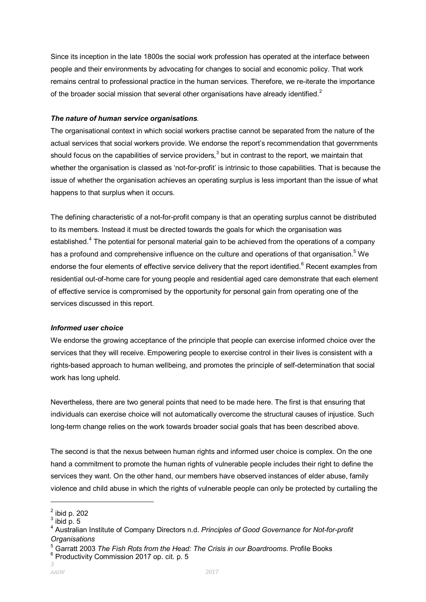Since its inception in the late 1800s the social work profession has operated at the interface between people and their environments by advocating for changes to social and economic policy. That work remains central to professional practice in the human services. Therefore, we re-iterate the importance of the broader social mission that several other organisations have already identified.<sup>[2](#page-2-0)</sup>

#### *The nature of human service organisations*.

The organisational context in which social workers practise cannot be separated from the nature of the actual services that social workers provide. We endorse the report's recommendation that governments should focus on the capabilities of service providers,<sup>[3](#page-2-1)</sup> but in contrast to the report, we maintain that whether the organisation is classed as 'not-for-profit' is intrinsic to those capabilities. That is because the issue of whether the organisation achieves an operating surplus is less important than the issue of what happens to that surplus when it occurs.

The defining characteristic of a not-for-profit company is that an operating surplus cannot be distributed to its members. Instead it must be directed towards the goals for which the organisation was established.<sup>[4](#page-2-2)</sup> The potential for personal material gain to be achieved from the operations of a company has a profound and comprehensive influence on the culture and operations of that organisation.<sup>[5](#page-2-3)</sup> We endorse the four elements of effective service delivery that the report identified.<sup>[6](#page-2-4)</sup> Recent examples from residential out-of-home care for young people and residential aged care demonstrate that each element of effective service is compromised by the opportunity for personal gain from operating one of the services discussed in this report.

#### *Informed user choice*

We endorse the growing acceptance of the principle that people can exercise informed choice over the services that they will receive. Empowering people to exercise control in their lives is consistent with a rights-based approach to human wellbeing, and promotes the principle of self-determination that social work has long upheld.

Nevertheless, there are two general points that need to be made here. The first is that ensuring that individuals can exercise choice will not automatically overcome the structural causes of injustice. Such long-term change relies on the work towards broader social goals that has been described above.

The second is that the nexus between human rights and informed user choice is complex. On the one hand a commitment to promote the human rights of vulnerable people includes their right to define the services they want. On the other hand, our members have observed instances of elder abuse, family violence and child abuse in which the rights of vulnerable people can only be protected by curtailing the

-

 $<sup>2</sup>$  ibid p. 202</sup>

<span id="page-2-1"></span><span id="page-2-0"></span> $3$  ibid p. 5

<span id="page-2-2"></span><sup>4</sup> Australian Institute of Company Directors n.d. *Principles of Good Governance for Not-for-profit Organisations*

<span id="page-2-3"></span><sup>5</sup> Garratt 2003 *The Fish Rots from the Head: The Crisis in our Boardrooms.* Profile Books

<span id="page-2-4"></span>*<sup>3</sup>* <sup>6</sup> Productivity Commission 2017 op. cit. p. 5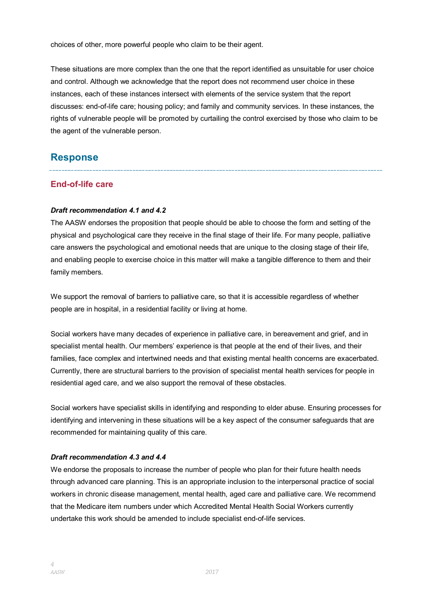choices of other, more powerful people who claim to be their agent.

These situations are more complex than the one that the report identified as unsuitable for user choice and control. Although we acknowledge that the report does not recommend user choice in these instances, each of these instances intersect with elements of the service system that the report discusses: end-of-life care; housing policy; and family and community services. In these instances, the rights of vulnerable people will be promoted by curtailing the control exercised by those who claim to be the agent of the vulnerable person.

# **Response**

### **End-of-life care**

### *Draft recommendation 4.1 and 4.2*

The AASW endorses the proposition that people should be able to choose the form and setting of the physical and psychological care they receive in the final stage of their life. For many people, palliative care answers the psychological and emotional needs that are unique to the closing stage of their life, and enabling people to exercise choice in this matter will make a tangible difference to them and their family members.

We support the removal of barriers to palliative care, so that it is accessible regardless of whether people are in hospital, in a residential facility or living at home.

Social workers have many decades of experience in palliative care, in bereavement and grief, and in specialist mental health. Our members' experience is that people at the end of their lives, and their families, face complex and intertwined needs and that existing mental health concerns are exacerbated. Currently, there are structural barriers to the provision of specialist mental health services for people in residential aged care, and we also support the removal of these obstacles.

Social workers have specialist skills in identifying and responding to elder abuse. Ensuring processes for identifying and intervening in these situations will be a key aspect of the consumer safeguards that are recommended for maintaining quality of this care.

### *Draft recommendation 4.3 and 4.4*

We endorse the proposals to increase the number of people who plan for their future health needs through advanced care planning. This is an appropriate inclusion to the interpersonal practice of social workers in chronic disease management, mental health, aged care and palliative care. We recommend that the Medicare item numbers under which Accredited Mental Health Social Workers currently undertake this work should be amended to include specialist end-of-life services.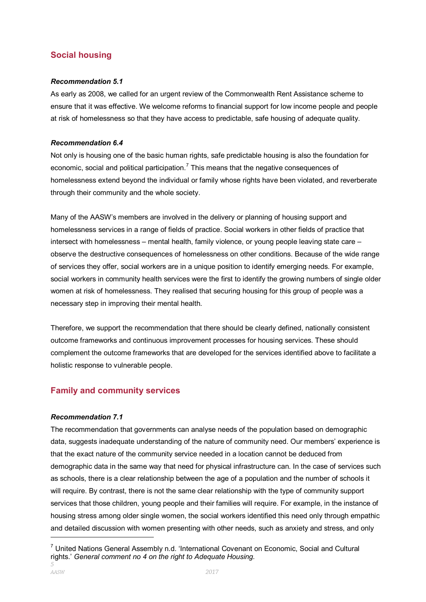### **Social housing**

#### *Recommendation 5.1*

As early as 2008, we called for an urgent review of the Commonwealth Rent Assistance scheme to ensure that it was effective. We welcome reforms to financial support for low income people and people at risk of homelessness so that they have access to predictable, safe housing of adequate quality.

#### *Recommendation 6.4*

Not only is housing one of the basic human rights, safe predictable housing is also the foundation for economic, social and political participation.<sup>[7](#page-4-0)</sup> This means that the negative consequences of homelessness extend beyond the individual or family whose rights have been violated, and reverberate through their community and the whole society.

Many of the AASW's members are involved in the delivery or planning of housing support and homelessness services in a range of fields of practice. Social workers in other fields of practice that intersect with homelessness – mental health, family violence, or young people leaving state care – observe the destructive consequences of homelessness on other conditions. Because of the wide range of services they offer, social workers are in a unique position to identify emerging needs. For example, social workers in community health services were the first to identify the growing numbers of single older women at risk of homelessness. They realised that securing housing for this group of people was a necessary step in improving their mental health.

Therefore, we support the recommendation that there should be clearly defined, nationally consistent outcome frameworks and continuous improvement processes for housing services. These should complement the outcome frameworks that are developed for the services identified above to facilitate a holistic response to vulnerable people.

### **Family and community services**

### *Recommendation 7.1*

The recommendation that governments can analyse needs of the population based on demographic data, suggests inadequate understanding of the nature of community need. Our members' experience is that the exact nature of the community service needed in a location cannot be deduced from demographic data in the same way that need for physical infrastructure can. In the case of services such as schools, there is a clear relationship between the age of a population and the number of schools it will require. By contrast, there is not the same clear relationship with the type of community support services that those children, young people and their families will require. For example, in the instance of housing stress among older single women, the social workers identified this need only through empathic and detailed discussion with women presenting with other needs, such as anxiety and stress, and only 

*5*

<span id="page-4-0"></span> $7$  United Nations General Assembly n.d. 'International Covenant on Economic, Social and Cultural rights.' *General comment no 4 on the right to Adequate Housing.*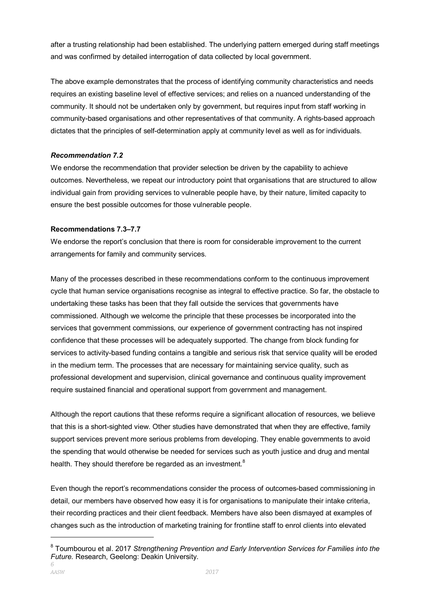after a trusting relationship had been established. The underlying pattern emerged during staff meetings and was confirmed by detailed interrogation of data collected by local government.

The above example demonstrates that the process of identifying community characteristics and needs requires an existing baseline level of effective services; and relies on a nuanced understanding of the community. It should not be undertaken only by government, but requires input from staff working in community-based organisations and other representatives of that community. A rights-based approach dictates that the principles of self-determination apply at community level as well as for individuals.

### *Recommendation 7.2*

We endorse the recommendation that provider selection be driven by the capability to achieve outcomes. Nevertheless, we repeat our introductory point that organisations that are structured to allow individual gain from providing services to vulnerable people have, by their nature, limited capacity to ensure the best possible outcomes for those vulnerable people.

#### **Recommendations 7.3–7.7**

We endorse the report's conclusion that there is room for considerable improvement to the current arrangements for family and community services.

Many of the processes described in these recommendations conform to the continuous improvement cycle that human service organisations recognise as integral to effective practice. So far, the obstacle to undertaking these tasks has been that they fall outside the services that governments have commissioned. Although we welcome the principle that these processes be incorporated into the services that government commissions, our experience of government contracting has not inspired confidence that these processes will be adequately supported. The change from block funding for services to activity-based funding contains a tangible and serious risk that service quality will be eroded in the medium term. The processes that are necessary for maintaining service quality, such as professional development and supervision, clinical governance and continuous quality improvement require sustained financial and operational support from government and management.

Although the report cautions that these reforms require a significant allocation of resources, we believe that this is a short-sighted view. Other studies have demonstrated that when they are effective, family support services prevent more serious problems from developing. They enable governments to avoid the spending that would otherwise be needed for services such as youth justice and drug and mental health. They should therefore be regarded as an investment.<sup>[8](#page-5-0)</sup>

Even though the report's recommendations consider the process of outcomes-based commissioning in detail, our members have observed how easy it is for organisations to manipulate their intake criteria, their recording practices and their client feedback. Members have also been dismayed at examples of changes such as the introduction of marketing training for frontline staff to enrol clients into elevated

<span id="page-5-0"></span>*<sup>6</sup>* <sup>8</sup> Toumbourou et al. 2017 *Strengthening Prevention and Early Intervention Services for Families into the Future.* Research, Geelong: Deakin University.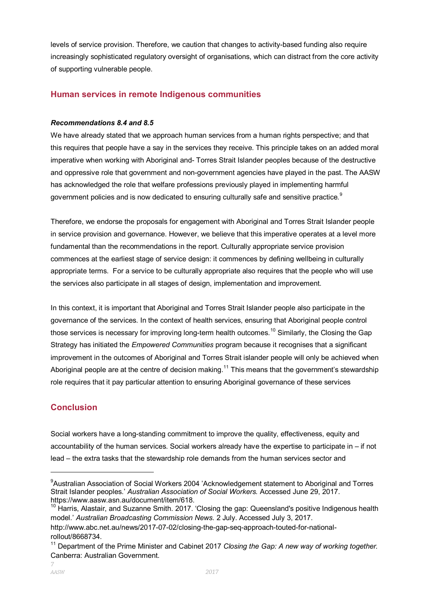levels of service provision. Therefore, we caution that changes to activity-based funding also require increasingly sophisticated regulatory oversight of organisations, which can distract from the core activity of supporting vulnerable people.

### **Human services in remote Indigenous communities**

#### *Recommendations 8.4 and 8.5*

We have already stated that we approach human services from a human rights perspective; and that this requires that people have a say in the services they receive. This principle takes on an added moral imperative when working with Aboriginal and- Torres Strait Islander peoples because of the destructive and oppressive role that government and non-government agencies have played in the past. The AASW has acknowledged the role that welfare professions previously played in implementing harmful government policies and is now dedicated to ensuring culturally safe and sensitive practice. $^9$  $^9$ 

Therefore, we endorse the proposals for engagement with Aboriginal and Torres Strait Islander people in service provision and governance. However, we believe that this imperative operates at a level more fundamental than the recommendations in the report. Culturally appropriate service provision commences at the earliest stage of service design: it commences by defining wellbeing in culturally appropriate terms. For a service to be culturally appropriate also requires that the people who will use the services also participate in all stages of design, implementation and improvement.

In this context, it is important that Aboriginal and Torres Strait Islander people also participate in the governance of the services. In the context of health services, ensuring that Aboriginal people control those services is necessary for improving long-term health outcomes.<sup>[10](#page-6-1)</sup> Similarly, the Closing the Gap Strategy has initiated the *Empowered Communities* program because it recognises that a significant improvement in the outcomes of Aboriginal and Torres Strait islander people will only be achieved when Aboriginal people are at the centre of decision making.<sup>[11](#page-6-2)</sup> This means that the government's stewardship role requires that it pay particular attention to ensuring Aboriginal governance of these services

### **Conclusion**

Social workers have a long-standing commitment to improve the quality, effectiveness, equity and accountability of the human services. Social workers already have the expertise to participate in – if not lead – the extra tasks that the stewardship role demands from the human services sector and

-

<span id="page-6-0"></span><sup>&</sup>lt;sup>9</sup>Australian Association of Social Workers 2004 'Acknowledgement statement to Aboriginal and Torres Strait Islander peoples.' *Australian Association of Social Workers.* Accessed June 29, 2017. https://www.aasw.asn.au/document/item/618.

<span id="page-6-1"></span> $10$  Harris, Alastair, and Suzanne Smith. 2017. 'Closing the gap: Queensland's positive Indigenous health model.' *Australian Broadcasting Commission News.* 2 July. Accessed July 3, 2017. http://www.abc.net.au/news/2017-07-02/closing-the-gap-seq-approach-touted-for-nationalrollout/8668734.

<span id="page-6-2"></span><sup>11</sup> Department of the Prime Minister and Cabinet 2017 *Closing the Gap: A new way of working together.* Canberra: Australian Government.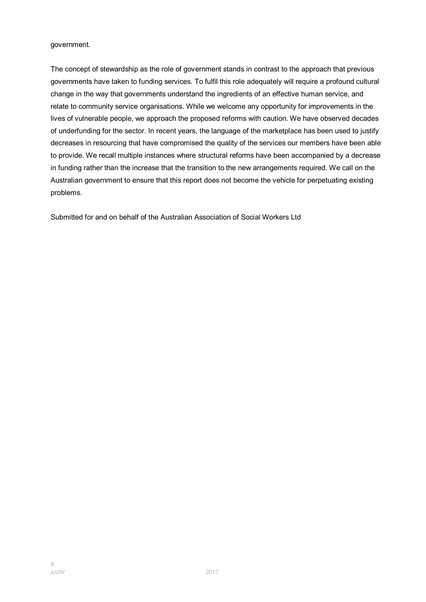government.

The concept of stewardship as the role of government stands in contrast to the approach that previous governments have taken to funding services. To fulfil this role adequately will require a profound cultural change in the way that governments understand the ingredients of an effective human service, and relate to community service organisations. While we welcome any opportunity for improvements in the lives of vulnerable people, we approach the proposed reforms with caution. We have observed decades of underfunding for the sector. In recent years, the language of the marketplace has been used to justify decreases in resourcing that have compromised the quality of the services our members have been able to provide. We recall multiple instances where structural reforms have been accompanied by a decrease in funding rather than the increase that the transition to the new arrangements required. We call on the Australian government to ensure that this report does not become the vehicle for perpetuating existing problems.

Submitted for and on behalf of the Australian Association of Social Workers Ltd